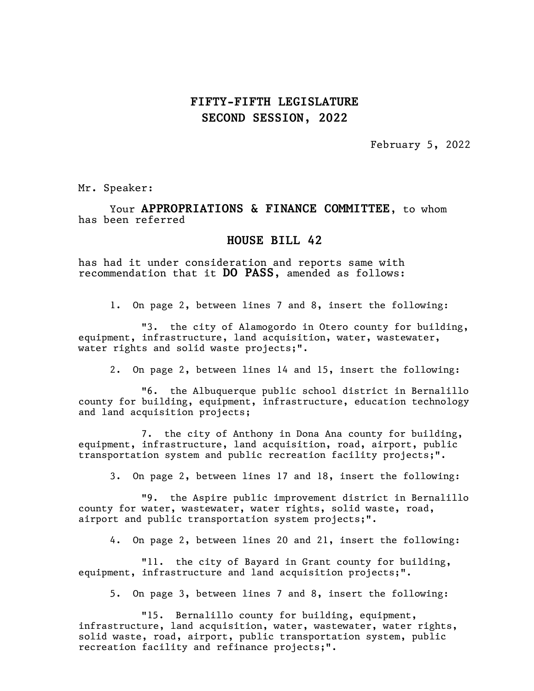February 5, 2022

Mr. Speaker:

Your APPROPRIATIONS & FINANCE COMMITTEE, to whom has been referred

#### HOUSE BILL 42

has had it under consideration and reports same with recommendation that it DO PASS, amended as follows:

1. On page 2, between lines 7 and 8, insert the following:

"3. the city of Alamogordo in Otero county for building, equipment, infrastructure, land acquisition, water, wastewater, water rights and solid waste projects;".

2. On page 2, between lines 14 and 15, insert the following:

"6. the Albuquerque public school district in Bernalillo county for building, equipment, infrastructure, education technology and land acquisition projects;

7. the city of Anthony in Dona Ana county for building, equipment, infrastructure, land acquisition, road, airport, public transportation system and public recreation facility projects;".

3. On page 2, between lines 17 and 18, insert the following:

"9. the Aspire public improvement district in Bernalillo county for water, wastewater, water rights, solid waste, road, airport and public transportation system projects;".

4. On page 2, between lines 20 and 21, insert the following:

"11. the city of Bayard in Grant county for building, equipment, infrastructure and land acquisition projects;".

5. On page 3, between lines 7 and 8, insert the following:

"15. Bernalillo county for building, equipment, infrastructure, land acquisition, water, wastewater, water rights, solid waste, road, airport, public transportation system, public recreation facility and refinance projects;".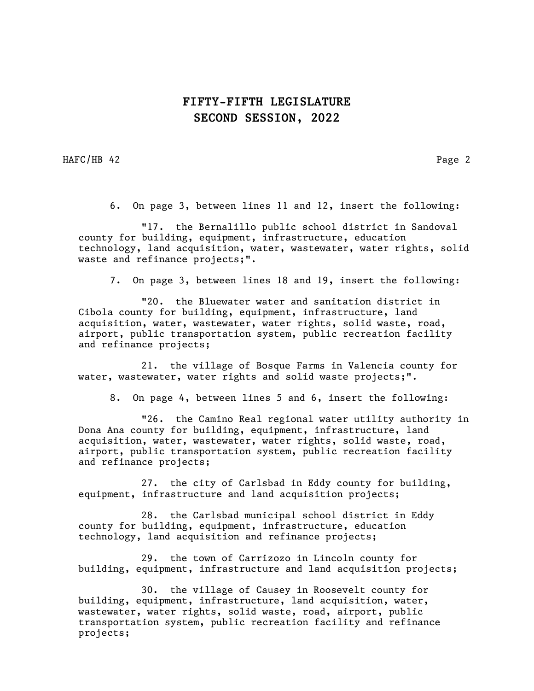HAFC/HB 42 Page 2

6. On page 3, between lines 11 and 12, insert the following:

"17. the Bernalillo public school district in Sandoval county for building, equipment, infrastructure, education technology, land acquisition, water, wastewater, water rights, solid waste and refinance projects;".

7. On page 3, between lines 18 and 19, insert the following:

"20. the Bluewater water and sanitation district in Cibola county for building, equipment, infrastructure, land acquisition, water, wastewater, water rights, solid waste, road, airport, public transportation system, public recreation facility and refinance projects;

21. the village of Bosque Farms in Valencia county for water, wastewater, water rights and solid waste projects;".

8. On page 4, between lines 5 and 6, insert the following:

"26. the Camino Real regional water utility authority in Dona Ana county for building, equipment, infrastructure, land acquisition, water, wastewater, water rights, solid waste, road, airport, public transportation system, public recreation facility and refinance projects;

27. the city of Carlsbad in Eddy county for building, equipment, infrastructure and land acquisition projects;

28. the Carlsbad municipal school district in Eddy county for building, equipment, infrastructure, education technology, land acquisition and refinance projects;

29. the town of Carrizozo in Lincoln county for building, equipment, infrastructure and land acquisition projects;

30. the village of Causey in Roosevelt county for building, equipment, infrastructure, land acquisition, water, wastewater, water rights, solid waste, road, airport, public transportation system, public recreation facility and refinance projects;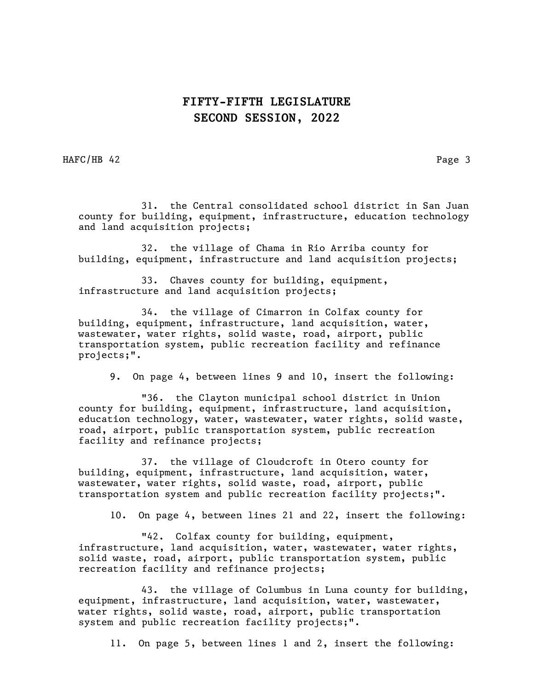HAFC/HB 42 Page 3

31. the Central consolidated school district in San Juan county for building, equipment, infrastructure, education technology and land acquisition projects;

32. the village of Chama in Rio Arriba county for building, equipment, infrastructure and land acquisition projects;

33. Chaves county for building, equipment, infrastructure and land acquisition projects;

34. the village of Cimarron in Colfax county for building, equipment, infrastructure, land acquisition, water, wastewater, water rights, solid waste, road, airport, public transportation system, public recreation facility and refinance projects;".

9. On page 4, between lines 9 and 10, insert the following:

"36. the Clayton municipal school district in Union county for building, equipment, infrastructure, land acquisition, education technology, water, wastewater, water rights, solid waste, road, airport, public transportation system, public recreation facility and refinance projects;

37. the village of Cloudcroft in Otero county for building, equipment, infrastructure, land acquisition, water, wastewater, water rights, solid waste, road, airport, public transportation system and public recreation facility projects;".

10. On page 4, between lines 21 and 22, insert the following:

"42. Colfax county for building, equipment, infrastructure, land acquisition, water, wastewater, water rights, solid waste, road, airport, public transportation system, public recreation facility and refinance projects;

43. the village of Columbus in Luna county for building, equipment, infrastructure, land acquisition, water, wastewater, water rights, solid waste, road, airport, public transportation system and public recreation facility projects;".

11. On page 5, between lines 1 and 2, insert the following: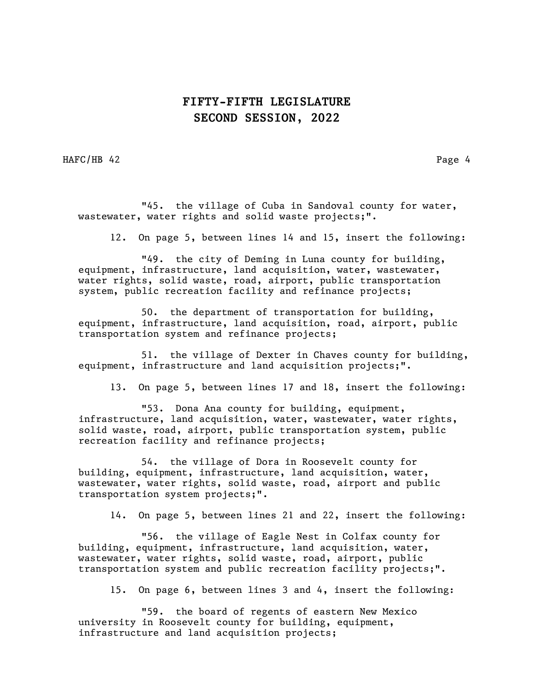HAFC/HB 42 Page 4

"45. the village of Cuba in Sandoval county for water, wastewater, water rights and solid waste projects;".

12. On page 5, between lines 14 and 15, insert the following:

"49. the city of Deming in Luna county for building, equipment, infrastructure, land acquisition, water, wastewater, water rights, solid waste, road, airport, public transportation system, public recreation facility and refinance projects;

50. the department of transportation for building, equipment, infrastructure, land acquisition, road, airport, public transportation system and refinance projects;

51. the village of Dexter in Chaves county for building, equipment, infrastructure and land acquisition projects;".

13. On page 5, between lines 17 and 18, insert the following:

"53. Dona Ana county for building, equipment, infrastructure, land acquisition, water, wastewater, water rights, solid waste, road, airport, public transportation system, public recreation facility and refinance projects;

54. the village of Dora in Roosevelt county for building, equipment, infrastructure, land acquisition, water, wastewater, water rights, solid waste, road, airport and public transportation system projects;".

14. On page 5, between lines 21 and 22, insert the following:

"56. the village of Eagle Nest in Colfax county for building, equipment, infrastructure, land acquisition, water, wastewater, water rights, solid waste, road, airport, public transportation system and public recreation facility projects;".

15. On page 6, between lines 3 and 4, insert the following:

"59. the board of regents of eastern New Mexico university in Roosevelt county for building, equipment, infrastructure and land acquisition projects;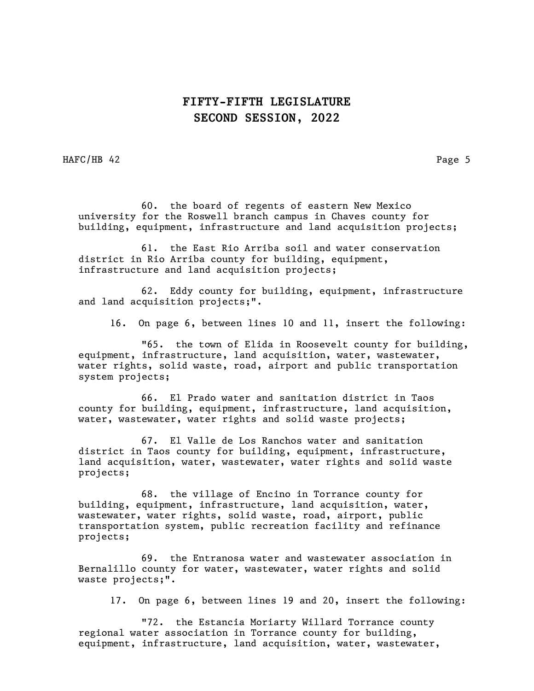HAFC/HB 42 Page 5

60. the board of regents of eastern New Mexico university for the Roswell branch campus in Chaves county for building, equipment, infrastructure and land acquisition projects;

61. the East Rio Arriba soil and water conservation district in Rio Arriba county for building, equipment, infrastructure and land acquisition projects;

62. Eddy county for building, equipment, infrastructure and land acquisition projects;".

16. On page 6, between lines 10 and 11, insert the following:

"65. the town of Elida in Roosevelt county for building, equipment, infrastructure, land acquisition, water, wastewater, water rights, solid waste, road, airport and public transportation system projects;

66. El Prado water and sanitation district in Taos county for building, equipment, infrastructure, land acquisition, water, wastewater, water rights and solid waste projects;

67. El Valle de Los Ranchos water and sanitation district in Taos county for building, equipment, infrastructure, land acquisition, water, wastewater, water rights and solid waste projects;

68. the village of Encino in Torrance county for building, equipment, infrastructure, land acquisition, water, wastewater, water rights, solid waste, road, airport, public transportation system, public recreation facility and refinance projects;

69. the Entranosa water and wastewater association in Bernalillo county for water, wastewater, water rights and solid waste projects;".

17. On page 6, between lines 19 and 20, insert the following:

"72. the Estancia Moriarty Willard Torrance county regional water association in Torrance county for building, equipment, infrastructure, land acquisition, water, wastewater,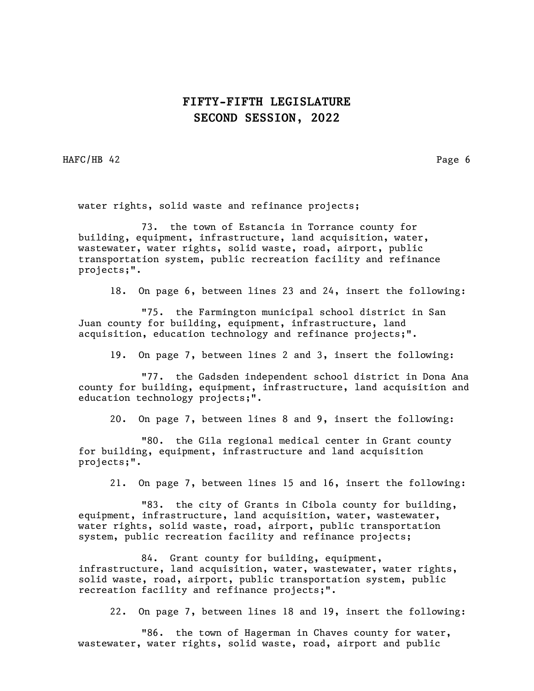HAFC/HB 42 Page 6

water rights, solid waste and refinance projects;

73. the town of Estancia in Torrance county for building, equipment, infrastructure, land acquisition, water, wastewater, water rights, solid waste, road, airport, public transportation system, public recreation facility and refinance projects;".

18. On page 6, between lines 23 and 24, insert the following:

"75. the Farmington municipal school district in San Juan county for building, equipment, infrastructure, land acquisition, education technology and refinance projects;".

19. On page 7, between lines 2 and 3, insert the following:

"77. the Gadsden independent school district in Dona Ana county for building, equipment, infrastructure, land acquisition and education technology projects;".

20. On page 7, between lines 8 and 9, insert the following:

"80. the Gila regional medical center in Grant county for building, equipment, infrastructure and land acquisition projects;".

21. On page 7, between lines 15 and 16, insert the following:

"83. the city of Grants in Cibola county for building, equipment, infrastructure, land acquisition, water, wastewater, water rights, solid waste, road, airport, public transportation system, public recreation facility and refinance projects;

84. Grant county for building, equipment, infrastructure, land acquisition, water, wastewater, water rights, solid waste, road, airport, public transportation system, public recreation facility and refinance projects;".

22. On page 7, between lines 18 and 19, insert the following:

"86. the town of Hagerman in Chaves county for water, wastewater, water rights, solid waste, road, airport and public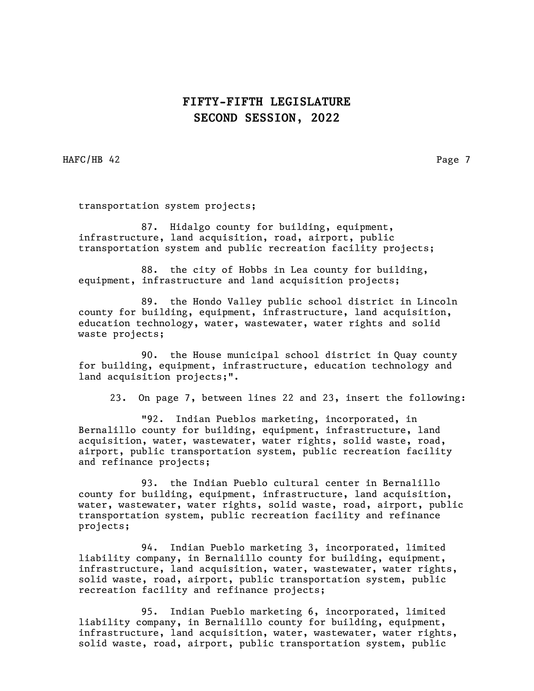HAFC/HB 42 Page 7

transportation system projects;

87. Hidalgo county for building, equipment, infrastructure, land acquisition, road, airport, public transportation system and public recreation facility projects;

88. the city of Hobbs in Lea county for building, equipment, infrastructure and land acquisition projects;

89. the Hondo Valley public school district in Lincoln county for building, equipment, infrastructure, land acquisition, education technology, water, wastewater, water rights and solid waste projects;

90. the House municipal school district in Quay county for building, equipment, infrastructure, education technology and land acquisition projects;".

23. On page 7, between lines 22 and 23, insert the following:

"92. Indian Pueblos marketing, incorporated, in Bernalillo county for building, equipment, infrastructure, land acquisition, water, wastewater, water rights, solid waste, road, airport, public transportation system, public recreation facility and refinance projects;

93. the Indian Pueblo cultural center in Bernalillo county for building, equipment, infrastructure, land acquisition, water, wastewater, water rights, solid waste, road, airport, public transportation system, public recreation facility and refinance projects;

94. Indian Pueblo marketing 3, incorporated, limited liability company, in Bernalillo county for building, equipment, infrastructure, land acquisition, water, wastewater, water rights, solid waste, road, airport, public transportation system, public recreation facility and refinance projects;

95. Indian Pueblo marketing 6, incorporated, limited liability company, in Bernalillo county for building, equipment, infrastructure, land acquisition, water, wastewater, water rights, solid waste, road, airport, public transportation system, public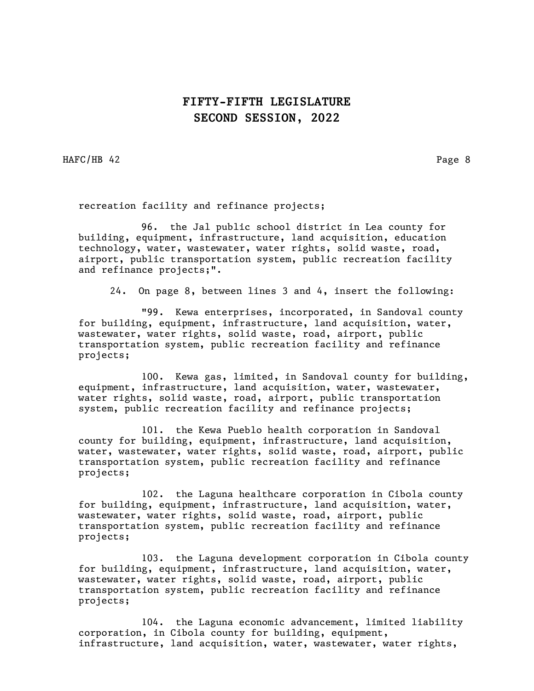HAFC/HB 42 Page 8

recreation facility and refinance projects;

96. the Jal public school district in Lea county for building, equipment, infrastructure, land acquisition, education technology, water, wastewater, water rights, solid waste, road, airport, public transportation system, public recreation facility and refinance projects;".

24. On page 8, between lines 3 and 4, insert the following:

"99. Kewa enterprises, incorporated, in Sandoval county for building, equipment, infrastructure, land acquisition, water, wastewater, water rights, solid waste, road, airport, public transportation system, public recreation facility and refinance projects;

100. Kewa gas, limited, in Sandoval county for building, equipment, infrastructure, land acquisition, water, wastewater, water rights, solid waste, road, airport, public transportation system, public recreation facility and refinance projects;

101. the Kewa Pueblo health corporation in Sandoval county for building, equipment, infrastructure, land acquisition, water, wastewater, water rights, solid waste, road, airport, public transportation system, public recreation facility and refinance projects;

102. the Laguna healthcare corporation in Cibola county for building, equipment, infrastructure, land acquisition, water, wastewater, water rights, solid waste, road, airport, public transportation system, public recreation facility and refinance projects;

103. the Laguna development corporation in Cibola county for building, equipment, infrastructure, land acquisition, water, wastewater, water rights, solid waste, road, airport, public transportation system, public recreation facility and refinance projects;

104. the Laguna economic advancement, limited liability corporation, in Cibola county for building, equipment, infrastructure, land acquisition, water, wastewater, water rights,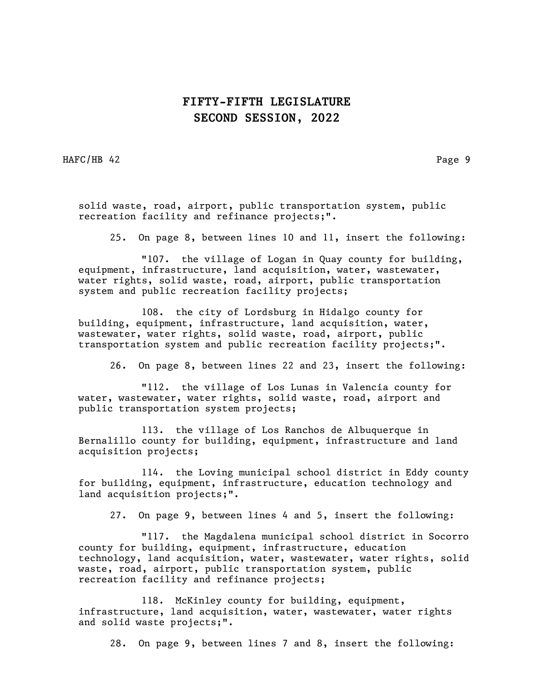HAFC/HB 42 Page 9

solid waste, road, airport, public transportation system, public recreation facility and refinance projects;".

25. On page 8, between lines 10 and 11, insert the following:

"107. the village of Logan in Quay county for building, equipment, infrastructure, land acquisition, water, wastewater, water rights, solid waste, road, airport, public transportation system and public recreation facility projects;

108. the city of Lordsburg in Hidalgo county for building, equipment, infrastructure, land acquisition, water, wastewater, water rights, solid waste, road, airport, public transportation system and public recreation facility projects;".

26. On page 8, between lines 22 and 23, insert the following:

"112. the village of Los Lunas in Valencia county for water, wastewater, water rights, solid waste, road, airport and public transportation system projects;

113. the village of Los Ranchos de Albuquerque in Bernalillo county for building, equipment, infrastructure and land acquisition projects;

114. the Loving municipal school district in Eddy county for building, equipment, infrastructure, education technology and land acquisition projects;".

27. On page 9, between lines 4 and 5, insert the following:

"117. the Magdalena municipal school district in Socorro county for building, equipment, infrastructure, education technology, land acquisition, water, wastewater, water rights, solid waste, road, airport, public transportation system, public recreation facility and refinance projects;

118. McKinley county for building, equipment, infrastructure, land acquisition, water, wastewater, water rights and solid waste projects;".

28. On page 9, between lines 7 and 8, insert the following: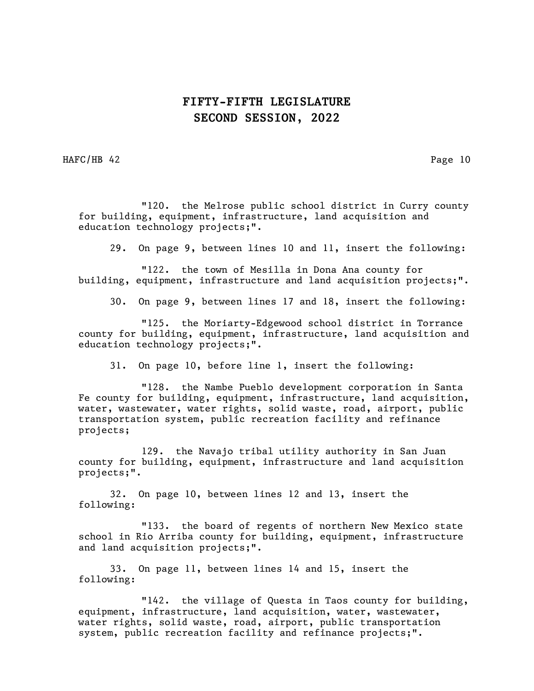HAFC/HB 42 Page 10

"120. the Melrose public school district in Curry county for building, equipment, infrastructure, land acquisition and education technology projects;".

29. On page 9, between lines 10 and 11, insert the following:

"122. the town of Mesilla in Dona Ana county for building, equipment, infrastructure and land acquisition projects;".

30. On page 9, between lines 17 and 18, insert the following:

"125. the Moriarty-Edgewood school district in Torrance county for building, equipment, infrastructure, land acquisition and education technology projects;".

31. On page 10, before line 1, insert the following:

"128. the Nambe Pueblo development corporation in Santa Fe county for building, equipment, infrastructure, land acquisition, water, wastewater, water rights, solid waste, road, airport, public transportation system, public recreation facility and refinance projects;

129. the Navajo tribal utility authority in San Juan county for building, equipment, infrastructure and land acquisition projects;".

32. On page 10, between lines 12 and 13, insert the following:

"133. the board of regents of northern New Mexico state school in Rio Arriba county for building, equipment, infrastructure and land acquisition projects;".

33. On page 11, between lines 14 and 15, insert the following:

"142. the village of Questa in Taos county for building, equipment, infrastructure, land acquisition, water, wastewater, water rights, solid waste, road, airport, public transportation system, public recreation facility and refinance projects;".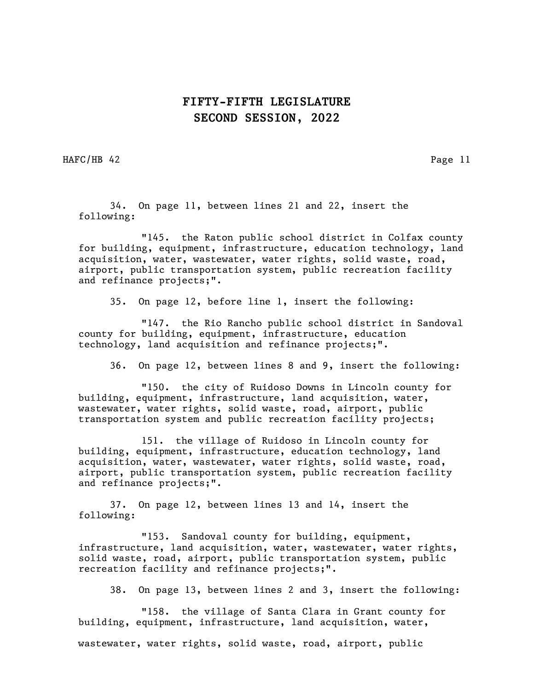HAFC/HB 42 Page 11

34. On page 11, between lines 21 and 22, insert the following:

"145. the Raton public school district in Colfax county for building, equipment, infrastructure, education technology, land acquisition, water, wastewater, water rights, solid waste, road, airport, public transportation system, public recreation facility and refinance projects;".

35. On page 12, before line 1, insert the following:

"147. the Rio Rancho public school district in Sandoval county for building, equipment, infrastructure, education technology, land acquisition and refinance projects;".

36. On page 12, between lines 8 and 9, insert the following:

"150. the city of Ruidoso Downs in Lincoln county for building, equipment, infrastructure, land acquisition, water, wastewater, water rights, solid waste, road, airport, public transportation system and public recreation facility projects;

151. the village of Ruidoso in Lincoln county for building, equipment, infrastructure, education technology, land acquisition, water, wastewater, water rights, solid waste, road, airport, public transportation system, public recreation facility and refinance projects;".

37. On page 12, between lines 13 and 14, insert the following:

"153. Sandoval county for building, equipment, infrastructure, land acquisition, water, wastewater, water rights, solid waste, road, airport, public transportation system, public recreation facility and refinance projects;".

38. On page 13, between lines 2 and 3, insert the following:

"158. the village of Santa Clara in Grant county for building, equipment, infrastructure, land acquisition, water,

wastewater, water rights, solid waste, road, airport, public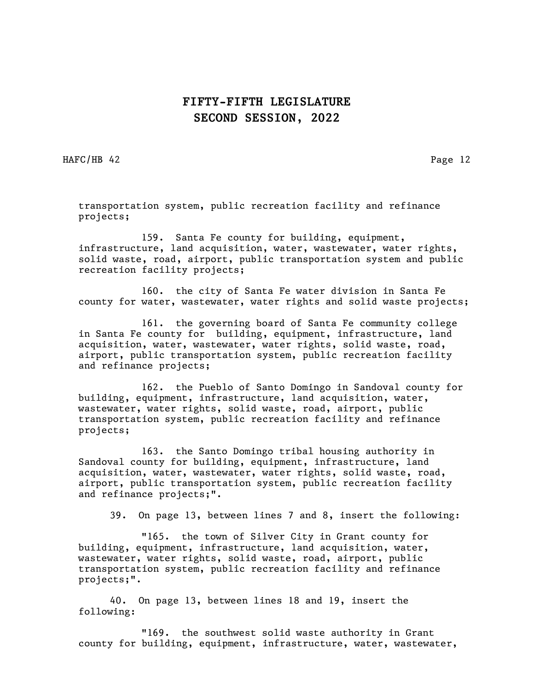HAFC/HB 42 Page 12

transportation system, public recreation facility and refinance projects;

159. Santa Fe county for building, equipment, infrastructure, land acquisition, water, wastewater, water rights, solid waste, road, airport, public transportation system and public recreation facility projects;

160. the city of Santa Fe water division in Santa Fe county for water, wastewater, water rights and solid waste projects;

161. the governing board of Santa Fe community college in Santa Fe county for building, equipment, infrastructure, land acquisition, water, wastewater, water rights, solid waste, road, airport, public transportation system, public recreation facility and refinance projects;

162. the Pueblo of Santo Domingo in Sandoval county for building, equipment, infrastructure, land acquisition, water, wastewater, water rights, solid waste, road, airport, public transportation system, public recreation facility and refinance projects;

163. the Santo Domingo tribal housing authority in Sandoval county for building, equipment, infrastructure, land acquisition, water, wastewater, water rights, solid waste, road, airport, public transportation system, public recreation facility and refinance projects;".

39. On page 13, between lines 7 and 8, insert the following:

"165. the town of Silver City in Grant county for building, equipment, infrastructure, land acquisition, water, wastewater, water rights, solid waste, road, airport, public transportation system, public recreation facility and refinance projects;".

40. On page 13, between lines 18 and 19, insert the following:

"169. the southwest solid waste authority in Grant county for building, equipment, infrastructure, water, wastewater,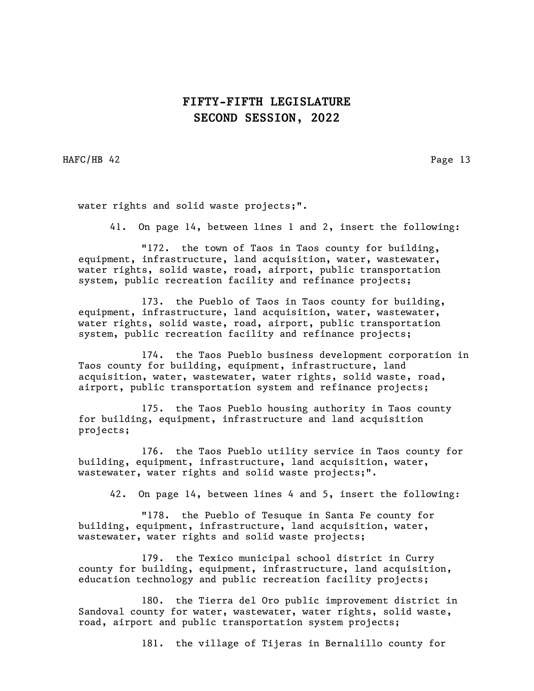HAFC/HB 42 Page 13

water rights and solid waste projects;".

41. On page 14, between lines 1 and 2, insert the following:

"172. the town of Taos in Taos county for building, equipment, infrastructure, land acquisition, water, wastewater, water rights, solid waste, road, airport, public transportation system, public recreation facility and refinance projects;

173. the Pueblo of Taos in Taos county for building, equipment, infrastructure, land acquisition, water, wastewater, water rights, solid waste, road, airport, public transportation system, public recreation facility and refinance projects;

174. the Taos Pueblo business development corporation in Taos county for building, equipment, infrastructure, land acquisition, water, wastewater, water rights, solid waste, road, airport, public transportation system and refinance projects;

175. the Taos Pueblo housing authority in Taos county for building, equipment, infrastructure and land acquisition projects;

176. the Taos Pueblo utility service in Taos county for building, equipment, infrastructure, land acquisition, water, wastewater, water rights and solid waste projects;".

42. On page 14, between lines 4 and 5, insert the following:

"178. the Pueblo of Tesuque in Santa Fe county for building, equipment, infrastructure, land acquisition, water, wastewater, water rights and solid waste projects;

179. the Texico municipal school district in Curry county for building, equipment, infrastructure, land acquisition, education technology and public recreation facility projects;

180. the Tierra del Oro public improvement district in Sandoval county for water, wastewater, water rights, solid waste, road, airport and public transportation system projects;

181. the village of Tijeras in Bernalillo county for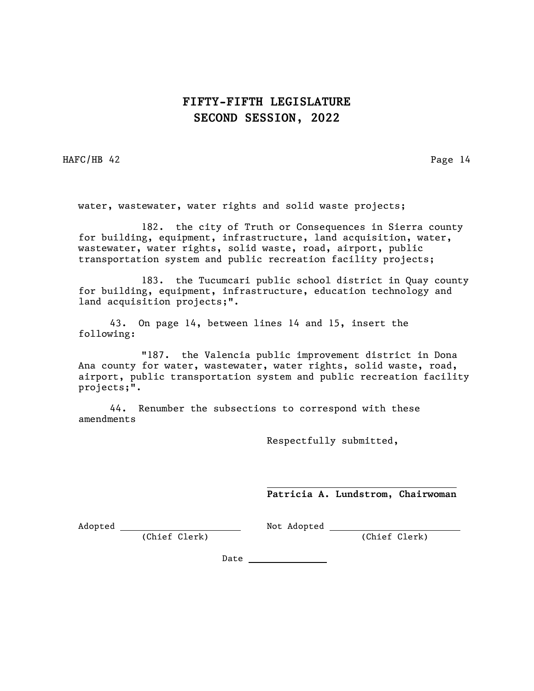HAFC/HB 42 Page 14

water, wastewater, water rights and solid waste projects;

182. the city of Truth or Consequences in Sierra county for building, equipment, infrastructure, land acquisition, water, wastewater, water rights, solid waste, road, airport, public transportation system and public recreation facility projects;

183. the Tucumcari public school district in Quay county for building, equipment, infrastructure, education technology and land acquisition projects;".

43. On page 14, between lines 14 and 15, insert the following:

"187. the Valencia public improvement district in Dona Ana county for water, wastewater, water rights, solid waste, road, airport, public transportation system and public recreation facility projects;".

44. Renumber the subsections to correspond with these amendments

Respectfully submitted,

Patricia A. Lundstrom, Chairwoman

Adopted (Chief Clerk)

Not Adopted (Chief Clerk)

Date